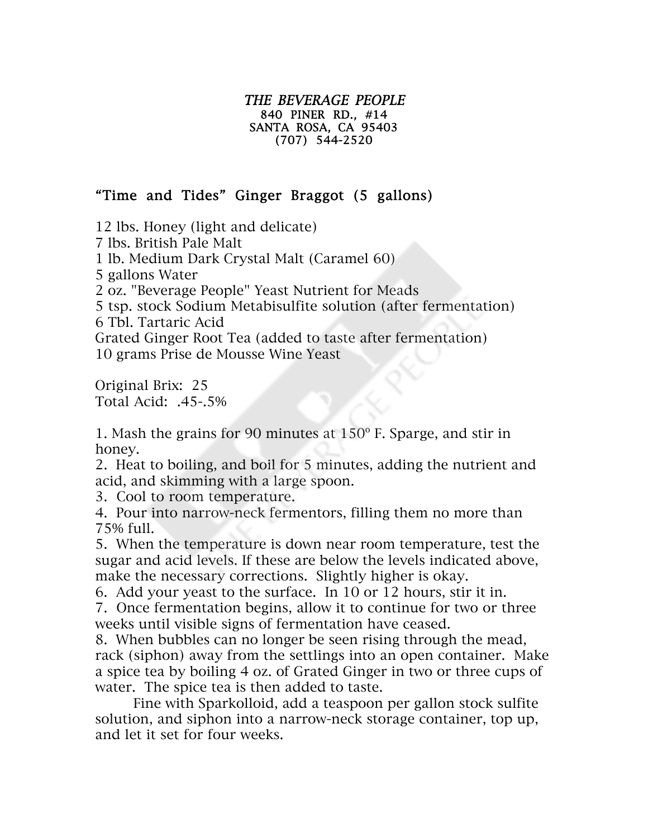## THE BEVERAGE PEOPLE 840 PINER RD., #14 SANTA ROSA, CA 95403 (707) 544-2520

## "Time and Tides" Ginger Braggot (5 gallons)

12 lbs. Honey (light and delicate)

7 lbs. British Pale Malt

1 lb. Medium Dark Crystal Malt (Caramel 60)

5 gallons Water

2 oz. "Beverage People" Yeast Nutrient for Meads

5 tsp. stock Sodium Metabisulfite solution (after fermentation)

6 Tbl. Tartaric Acid

Grated Ginger Root Tea (added to taste after fermentation)

10 grams Prise de Mousse Wine Yeast

Original Brix: 25 Total Acid: .45-.5%

1. Mash the grains for 90 minutes at 150º F. Sparge, and stir in honey.

2. Heat to boiling, and boil for 5 minutes, adding the nutrient and acid, and skimming with a large spoon.

3. Cool to room temperature.

4. Pour into narrow-neck fermentors, filling them no more than 75% full.

5. When the temperature is down near room temperature, test the sugar and acid levels. If these are below the levels indicated above, make the necessary corrections. Slightly higher is okay.

6. Add your yeast to the surface. In 10 or 12 hours, stir it in.

7. Once fermentation begins, allow it to continue for two or three weeks until visible signs of fermentation have ceased.

8. When bubbles can no longer be seen rising through the mead, rack (siphon) away from the settlings into an open container. Make a spice tea by boiling 4 oz. of Grated Ginger in two or three cups of water. The spice tea is then added to taste.

Fine with Sparkolloid, add a teaspoon per gallon stock sulfite solution, and siphon into a narrow-neck storage container, top up, and let it set for four weeks.